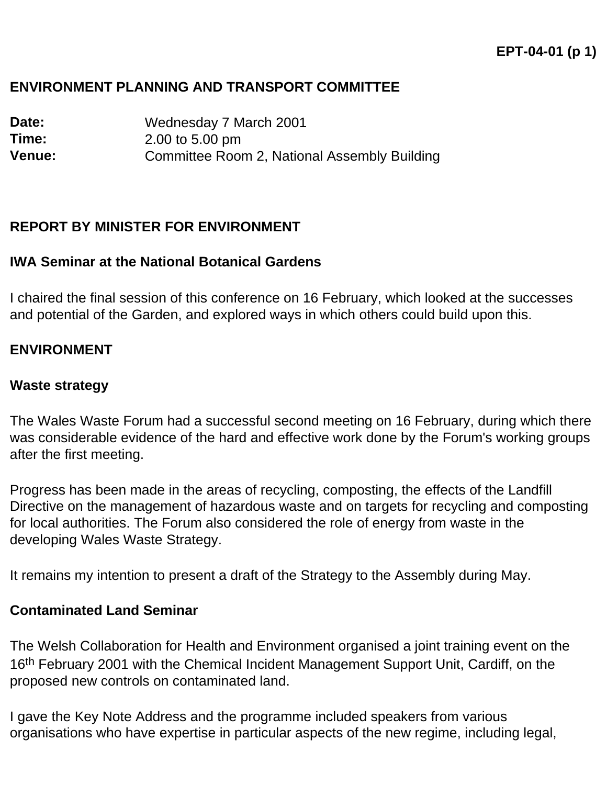# **ENVIRONMENT PLANNING AND TRANSPORT COMMITTEE**

**Date:** Wednesday 7 March 2001 **Time:** 2.00 to 5.00 pm **Venue:** Committee Room 2, National Assembly Building

## **REPORT BY MINISTER FOR ENVIRONMENT**

### **IWA Seminar at the National Botanical Gardens**

I chaired the final session of this conference on 16 February, which looked at the successes and potential of the Garden, and explored ways in which others could build upon this.

## **ENVIRONMENT**

#### **Waste strategy**

The Wales Waste Forum had a successful second meeting on 16 February, during which there was considerable evidence of the hard and effective work done by the Forum's working groups after the first meeting.

Progress has been made in the areas of recycling, composting, the effects of the Landfill Directive on the management of hazardous waste and on targets for recycling and composting for local authorities. The Forum also considered the role of energy from waste in the developing Wales Waste Strategy.

It remains my intention to present a draft of the Strategy to the Assembly during May.

#### **Contaminated Land Seminar**

The Welsh Collaboration for Health and Environment organised a joint training event on the 16<sup>th</sup> February 2001 with the Chemical Incident Management Support Unit, Cardiff, on the proposed new controls on contaminated land.

I gave the Key Note Address and the programme included speakers from various organisations who have expertise in particular aspects of the new regime, including legal,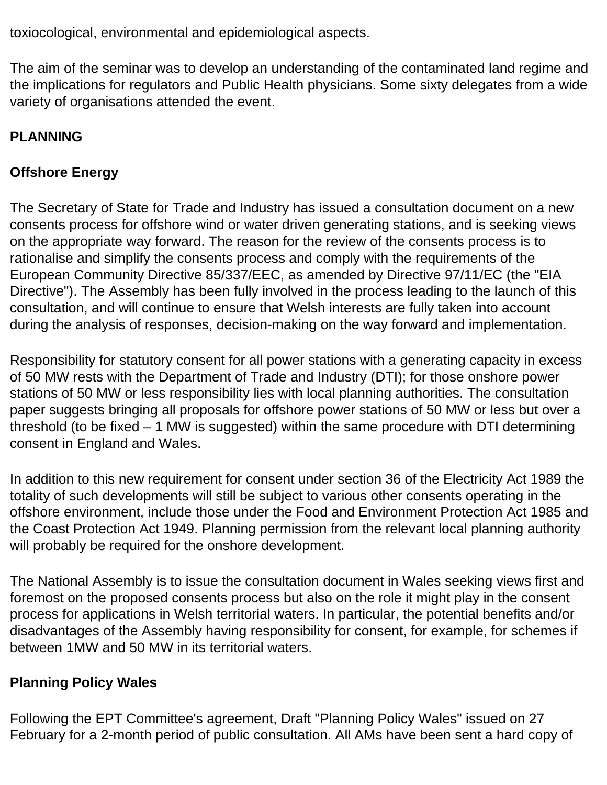toxiocological, environmental and epidemiological aspects.

The aim of the seminar was to develop an understanding of the contaminated land regime and the implications for regulators and Public Health physicians. Some sixty delegates from a wide variety of organisations attended the event.

# **PLANNING**

# **Offshore Energy**

The Secretary of State for Trade and Industry has issued a consultation document on a new consents process for offshore wind or water driven generating stations, and is seeking views on the appropriate way forward. The reason for the review of the consents process is to rationalise and simplify the consents process and comply with the requirements of the European Community Directive 85/337/EEC, as amended by Directive 97/11/EC (the "EIA Directive"). The Assembly has been fully involved in the process leading to the launch of this consultation, and will continue to ensure that Welsh interests are fully taken into account during the analysis of responses, decision-making on the way forward and implementation.

Responsibility for statutory consent for all power stations with a generating capacity in excess of 50 MW rests with the Department of Trade and Industry (DTI); for those onshore power stations of 50 MW or less responsibility lies with local planning authorities. The consultation paper suggests bringing all proposals for offshore power stations of 50 MW or less but over a threshold (to be fixed – 1 MW is suggested) within the same procedure with DTI determining consent in England and Wales.

In addition to this new requirement for consent under section 36 of the Electricity Act 1989 the totality of such developments will still be subject to various other consents operating in the offshore environment, include those under the Food and Environment Protection Act 1985 and the Coast Protection Act 1949. Planning permission from the relevant local planning authority will probably be required for the onshore development.

The National Assembly is to issue the consultation document in Wales seeking views first and foremost on the proposed consents process but also on the role it might play in the consent process for applications in Welsh territorial waters. In particular, the potential benefits and/or disadvantages of the Assembly having responsibility for consent, for example, for schemes if between 1MW and 50 MW in its territorial waters.

# **Planning Policy Wales**

Following the EPT Committee's agreement, Draft "Planning Policy Wales" issued on 27 February for a 2-month period of public consultation. All AMs have been sent a hard copy of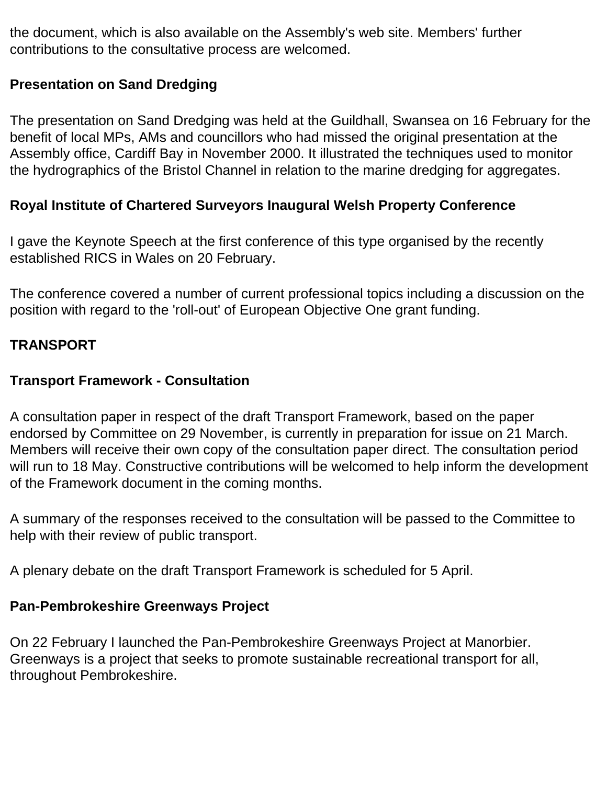the document, which is also available on the Assembly's web site. Members' further contributions to the consultative process are welcomed.

# **Presentation on Sand Dredging**

The presentation on Sand Dredging was held at the Guildhall, Swansea on 16 February for the benefit of local MPs, AMs and councillors who had missed the original presentation at the Assembly office, Cardiff Bay in November 2000. It illustrated the techniques used to monitor the hydrographics of the Bristol Channel in relation to the marine dredging for aggregates.

# **Royal Institute of Chartered Surveyors Inaugural Welsh Property Conference**

I gave the Keynote Speech at the first conference of this type organised by the recently established RICS in Wales on 20 February.

The conference covered a number of current professional topics including a discussion on the position with regard to the 'roll-out' of European Objective One grant funding.

## **TRANSPORT**

## **Transport Framework - Consultation**

A consultation paper in respect of the draft Transport Framework, based on the paper endorsed by Committee on 29 November, is currently in preparation for issue on 21 March. Members will receive their own copy of the consultation paper direct. The consultation period will run to 18 May. Constructive contributions will be welcomed to help inform the development of the Framework document in the coming months.

A summary of the responses received to the consultation will be passed to the Committee to help with their review of public transport.

A plenary debate on the draft Transport Framework is scheduled for 5 April.

## **Pan-Pembrokeshire Greenways Project**

On 22 February I launched the Pan-Pembrokeshire Greenways Project at Manorbier. Greenways is a project that seeks to promote sustainable recreational transport for all, throughout Pembrokeshire.